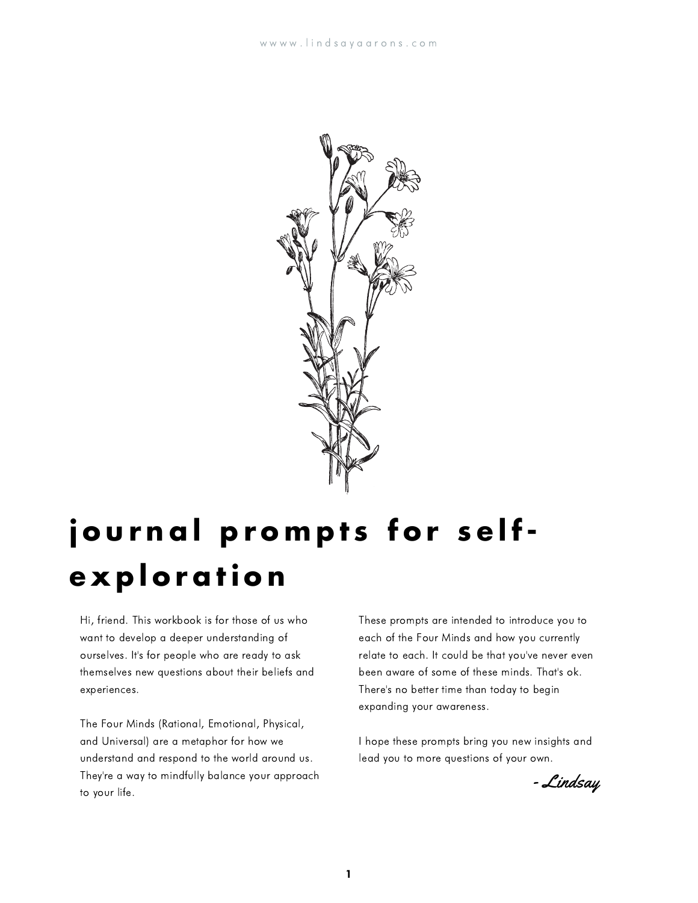

# **j o u r n a l p r o m p t s f o r s e lfe x p l o r a ti o n**

Hi, friend. This workbook is for those of us who want to develop a deeper understanding of ourselves. It's for people who are ready to ask themselves new questions about their beliefs and experiences.

The Four Minds (Rational, Emotional, Physical, and Universal) are a metaphor for how we understand and respond to the world around us. They're a way to mindfully balance your approach to your life.

These prompts are intended to introduce you to each of the Four Minds and how you currently relate to each. It could be that you've never even been aware of some of these minds. That's ok. There's no better time than today to begin expanding your awareness.

I hope these prompts bring you new insights and lead you to more questions of your own.

- Lindsay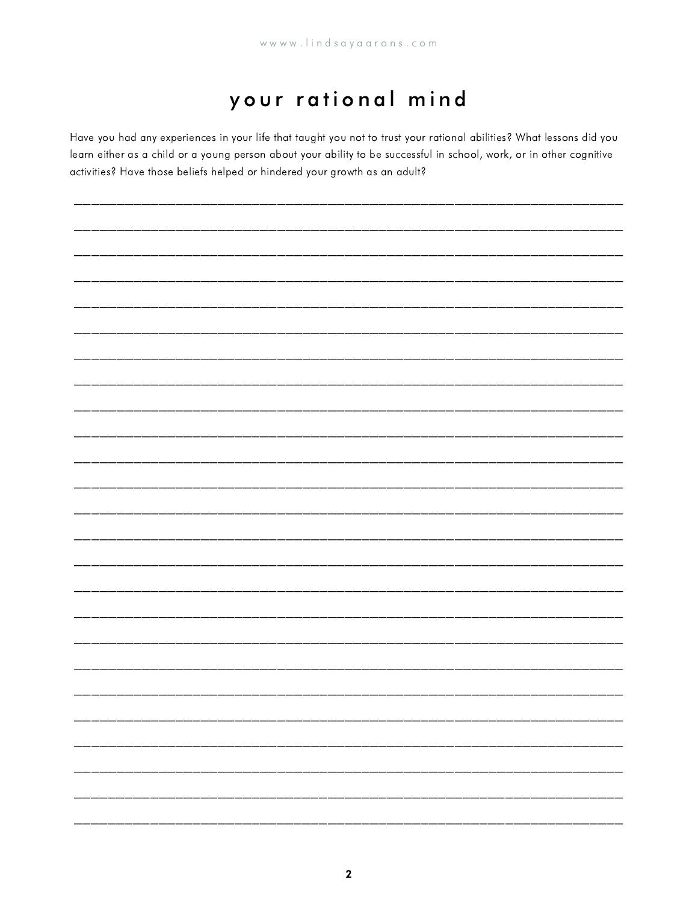#### your rational mind

Have you had any experiences in your life that taught you not to trust your rational abilities? What lessons did you learn either as a child or a young person about your ability to be successful in school, work, or in other cognitive activities? Have those beliefs helped or hindered your growth as an adult?

|                       | —      |
|-----------------------|--------|
|                       | ------ |
| __________________    | ------ |
| _____________________ | ------ |
|                       | ----   |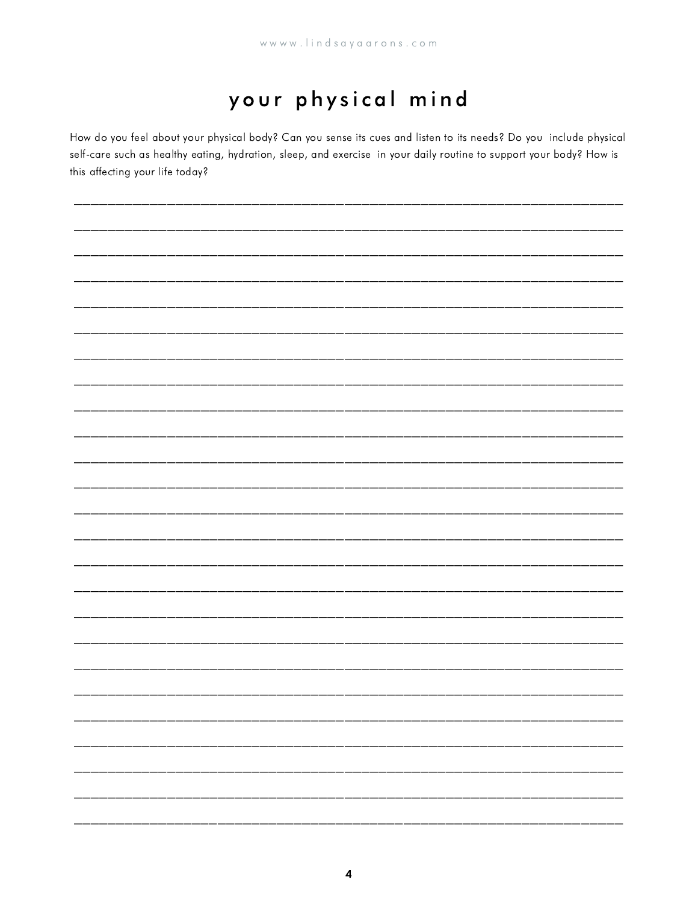## your physical mind

How do you feel about your physical body? Can you sense its cues and listen to its needs? Do you include physical self-care such as healthy eating, hydration, sleep, and exercise in your daily routine to support your body? How is this affecting your life today?

| _____ |  | – |
|-------|--|---|
|       |  |   |
|       |  |   |
|       |  |   |
|       |  |   |
|       |  |   |
|       |  |   |
|       |  |   |
|       |  |   |
|       |  |   |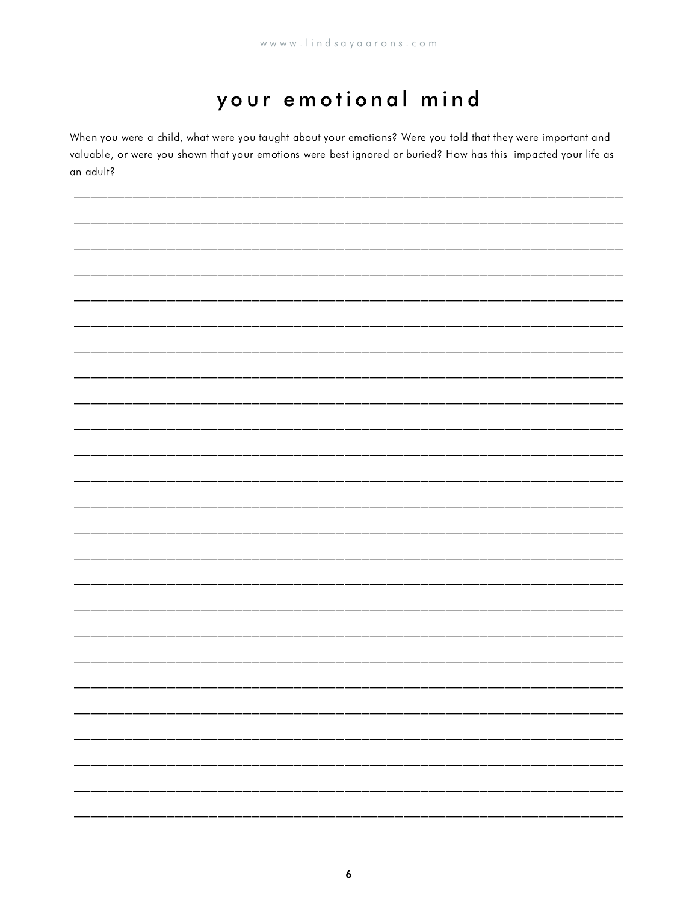#### your emotional mind

When you were a child, what were you taught about your emotions? Were you told that they were important and valuable, or were you shown that your emotions were best ignored or buried? How has this impacted your life as an adult?

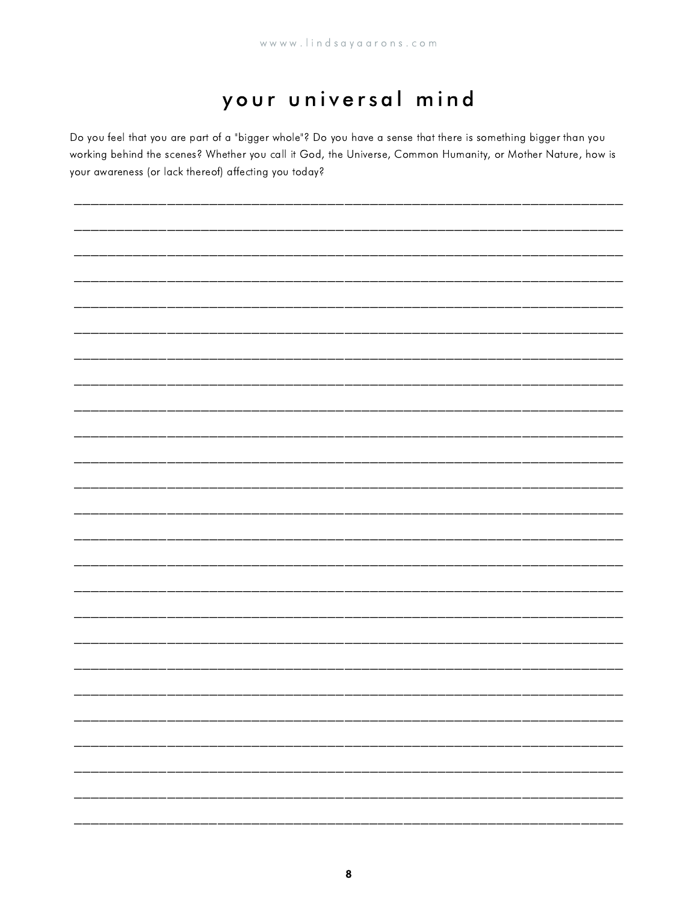### your universal mind

Do you feel that you are part of a "bigger whole"? Do you have a sense that there is something bigger than you working behind the scenes? Whether you call it God, the Universe, Common Humanity, or Mother Nature, how is your awareness (or lack thereof) affecting you today?